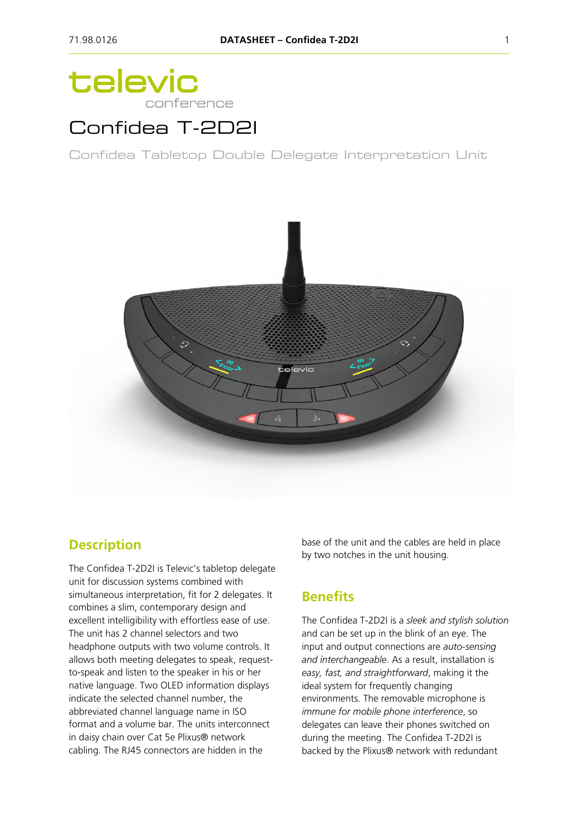# televic conference

## Confidea T-2D2I

Confidea Tabletop Double Delegate Interpretation Unit



### **Description**

The Confidea T-2D2I is Televic's tabletop delegate unit for discussion systems combined with simultaneous interpretation, fit for 2 delegates. It combines a slim, contemporary design and excellent intelligibility with effortless ease of use. The unit has 2 channel selectors and two headphone outputs with two volume controls. It allows both meeting delegates to speak, requestto-speak and listen to the speaker in his or her native language. Two OLED information displays indicate the selected channel number, the abbreviated channel language name in ISO format and a volume bar. The units interconnect in daisy chain over Cat 5e Plixus® network cabling. The RJ45 connectors are hidden in the

base of the unit and the cables are held in place by two notches in the unit housing.

### **Benefits**

The Confidea T-2D2I is a *sleek and stylish solution* and can be set up in the blink of an eye. The input and output connections are *auto-sensing and interchangeable*. As a result, installation is *easy, fast, and straightforward*, making it the ideal system for frequently changing environments. The removable microphone is *immune for mobile phone interference*, so delegates can leave their phones switched on during the meeting. The Confidea T-2D2I is backed by the Plixus® network with redundant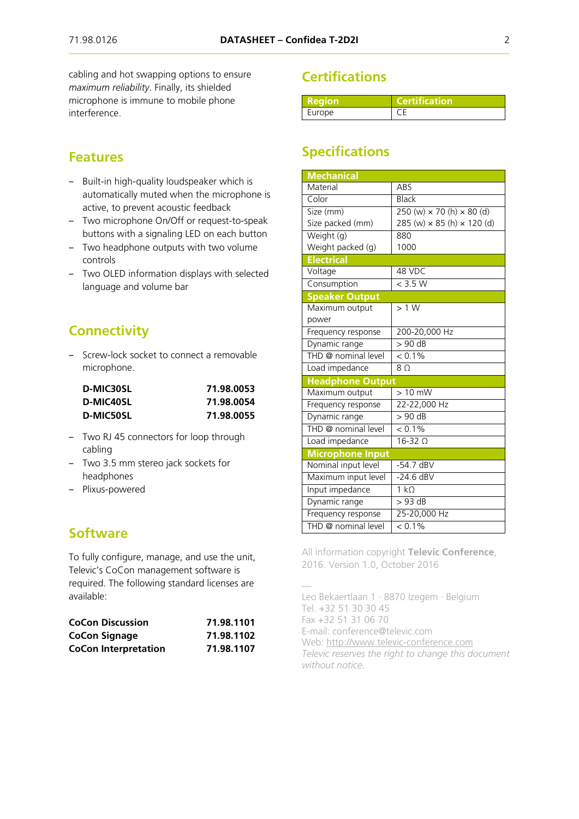cabling and hot swapping options to ensure *maximum reliability*. Finally, its shielded microphone is immune to mobile phone interference.

#### **Features**

- ‒ Built-in high-quality loudspeaker which is automatically muted when the microphone is active, to prevent acoustic feedback
- Two microphone On/Off or request-to-speak buttons with a signaling LED on each button
- ‒ Two headphone outputs with two volume controls
- Two OLED information displays with selected language and volume bar

### **Connectivity**

‒ Screw-lock socket to connect a removable microphone.

| D-MIC30SL | 71.98.0053 |  |
|-----------|------------|--|
| D-MIC40SL | 71.98.0054 |  |
| D-MIC50SL | 71.98.0055 |  |

- ‒ Two RJ 45 connectors for loop through cabling
- ‒ Two 3.5 mm stereo jack sockets for headphones
- Plixus-powered

#### **Software**

To fully configure, manage, and use the unit, Televic's CoCon management software is required. The following standard licenses are available:

| <b>CoCon Discussion</b>     | 71.98.1101 |
|-----------------------------|------------|
| <b>CoCon Signage</b>        | 71.98.1102 |
| <b>CoCon Interpretation</b> | 71.98.1107 |

### **Certifications**

| Region | <b>Certification</b> |
|--------|----------------------|
| Europe |                      |

### **Specifications**

| <b>Mechanical</b>       |                                                               |
|-------------------------|---------------------------------------------------------------|
| Material                | ABS                                                           |
| Color                   | <b>Black</b>                                                  |
| Size (mm)               | $250 \text{ (w)} \times 70 \text{ (h)} \times 80 \text{ (d)}$ |
| Size packed (mm)        | 285 (w) × 85 (h) × 120 (d)                                    |
| Weight (g)              | 880                                                           |
| Weight packed (g)       | 1000                                                          |
| <b>Electrical</b>       |                                                               |
| Voltage                 | 48 VDC                                                        |
| Consumption             | $<$ 3.5 W                                                     |
| <b>Speaker Output</b>   |                                                               |
| Maximum output          | >1 W                                                          |
| power                   |                                                               |
| Frequency response      | 200-20,000 Hz                                                 |
| Dynamic range           | $> 90$ dB                                                     |
| THD @ nominal level     | $< 0.1\%$                                                     |
| Load impedance          | 8 <sub>0</sub>                                                |
| <b>Headphone Output</b> |                                                               |
| Maximum output          | $> 10$ mW                                                     |
| Frequency response      | 22-22,000 Hz                                                  |
| Dynamic range           | $> 90$ dB                                                     |
| THD @ nominal level     | $\frac{1}{6}$ 0.1%                                            |
| Load impedance          | $16-32$ $\Omega$                                              |
| <b>Microphone Input</b> |                                                               |
| Nominal input level     | $-54.7$ dBV                                                   |
| Maximum input level     | $-24.6$ dBV                                                   |
| Input impedance         | $1 k\Omega$                                                   |
| Dynamic range           | $>93$ dB                                                      |
| Frequency response      | 25-20,000 Hz                                                  |
| THD @ nominal level     | $< 0.1\%$                                                     |

All information copyright **Televic Conference**, 2016. Version 1.0, October 2016

— Leo Bekaertlaan 1 · 8870 Izegem · Belgium Tel. +32 51 30 30 45 Fax +32 51 31 06 70 E-mail: conference@televic.com Web: [http://www.televic-conference.com](http://www.televic-conference.com/) *Televic reserves the right to change this document without notice.*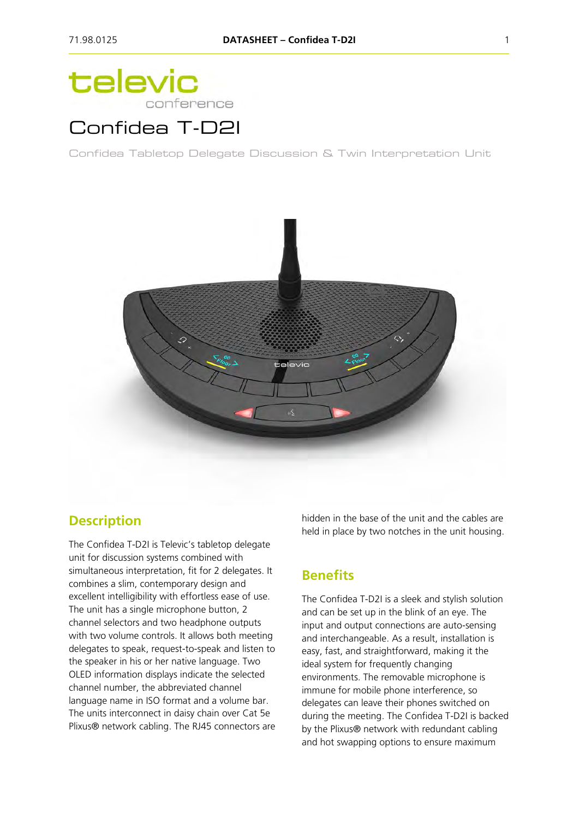# televic conference

# Confidea T-D2I

Confidea Tabletop Delegate Discussion & Twin Interpretation Unit



### **Description**

The Confidea T-D2I is Televic's tabletop delegate unit for discussion systems combined with simultaneous interpretation, fit for 2 delegates. It combines a slim, contemporary design and excellent intelligibility with effortless ease of use. The unit has a single microphone button, 2 channel selectors and two headphone outputs with two volume controls. It allows both meeting delegates to speak, request-to-speak and listen to the speaker in his or her native language. Two OLED information displays indicate the selected channel number, the abbreviated channel language name in ISO format and a volume bar. The units interconnect in daisy chain over Cat 5e Plixus® network cabling. The RJ45 connectors are hidden in the base of the unit and the cables are held in place by two notches in the unit housing.

### **Benefits**

The Confidea T-D2I is a sleek and stylish solution and can be set up in the blink of an eye. The input and output connections are auto-sensing and interchangeable. As a result, installation is easy, fast, and straightforward, making it the ideal system for frequently changing environments. The removable microphone is immune for mobile phone interference, so delegates can leave their phones switched on during the meeting. The Confidea T-D2I is backed by the Plixus® network with redundant cabling and hot swapping options to ensure maximum